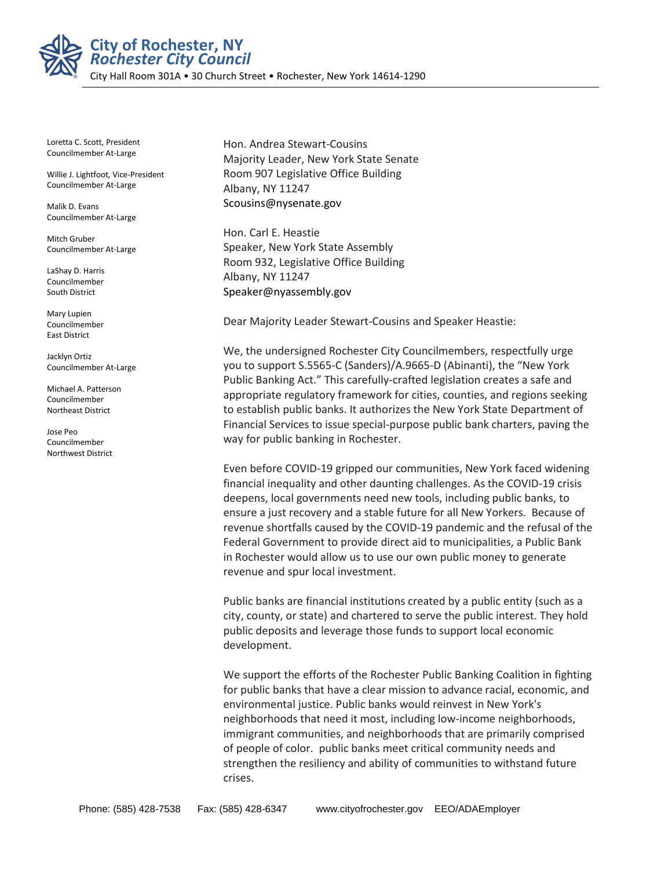

**City of Rochester, NY** *Rochester City Council*

City Hall Room 301A • 30 Church Street • Rochester, New York 14614-1290

Loretta C. Scott, President Councilmember At-Large

Willie J. Lightfoot, Vice-President Councilmember At-Large

Malik D. Evans Councilmember At-Large

Mitch Gruber Councilmember At-Large

LaShay D. Harris Councilmember South District

Mary Lupien Councilmember East District

Jacklyn Ortiz Councilmember At-Large

Michael A. Patterson Councilmember Northeast District

Jose Peo Councilmember Northwest District

Hon. Andrea Stewart-Cousins Majority Leader, New York State Senate Room 907 Legislative Office Building Albany, NY 11247 Scousins@nysenate.gov

Hon. Carl E. Heastie Speaker, New York State Assembly Room 932, Legislative Office Building Albany, NY 11247 Speaker@nyassembly.gov

Dear Majority Leader Stewart-Cousins and Speaker Heastie:

We, the undersigned Rochester City Councilmembers, respectfully urge you to support S.5565-C (Sanders)/A.9665-D (Abinanti), the "New York Public Banking Act." This carefully-crafted legislation creates a safe and appropriate regulatory framework for cities, counties, and regions seeking to establish public banks. It authorizes the New York State Department of Financial Services to issue special-purpose public bank charters, paving the way for public banking in Rochester.

Even before COVID-19 gripped our communities, New York faced widening financial inequality and other daunting challenges. As the COVID-19 crisis deepens, local governments need new tools, including public banks, to ensure a just recovery and a stable future for all New Yorkers. Because of revenue shortfalls caused by the COVID-19 pandemic and the refusal of the Federal Government to provide direct aid to municipalities, a Public Bank in Rochester would allow us to use our own public money to generate revenue and spur local investment.

Public banks are financial institutions created by a public entity (such as a city, county, or state) and chartered to serve the public interest. They hold public deposits and leverage those funds to support local economic development.

We support the efforts of the Rochester Public Banking Coalition in fighting for public banks that have a clear mission to advance racial, economic, and environmental justice. Public banks would reinvest in New York's neighborhoods that need it most, including low-income neighborhoods, immigrant communities, and neighborhoods that are primarily comprised of people of color. public banks meet critical community needs and strengthen the resiliency and ability of communities to withstand future crises.